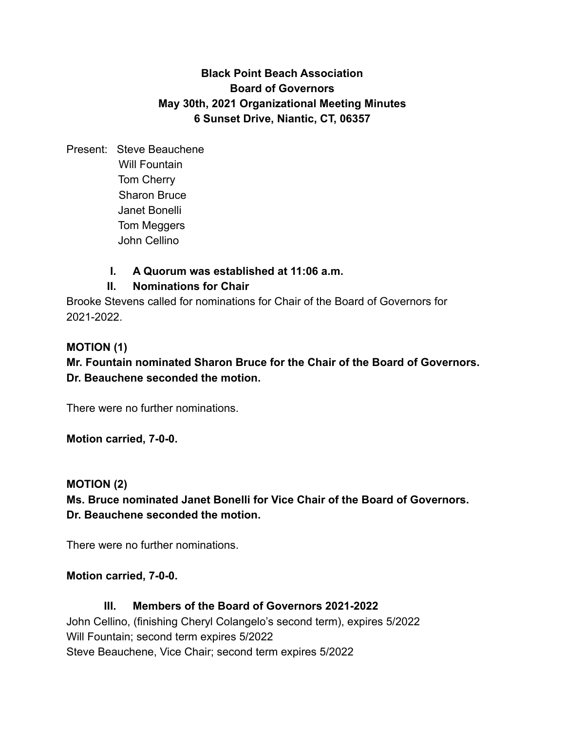# **Black Point Beach Association Board of Governors May 30th, 2021 Organizational Meeting Minutes 6 Sunset Drive, Niantic, CT, 06357**

Present: Steve Beauchene Will Fountain Tom Cherry Sharon Bruce Janet Bonelli Tom Meggers John Cellino

## **I. A Quorum was established at 11:06 a.m.**

### **II. Nominations for Chair**

Brooke Stevens called for nominations for Chair of the Board of Governors for 2021-2022.

#### **MOTION (1)**

**Mr. Fountain nominated Sharon Bruce for the Chair of the Board of Governors. Dr. Beauchene seconded the motion.**

There were no further nominations.

**Motion carried, 7-0-0.**

#### **MOTION (2)**

**Ms. Bruce nominated Janet Bonelli for Vice Chair of the Board of Governors. Dr. Beauchene seconded the motion.**

There were no further nominations.

#### **Motion carried, 7-0-0.**

## **III. Members of the Board of Governors 2021-2022**

John Cellino, (finishing Cheryl Colangelo's second term), expires 5/2022 Will Fountain; second term expires 5/2022 Steve Beauchene, Vice Chair; second term expires 5/2022